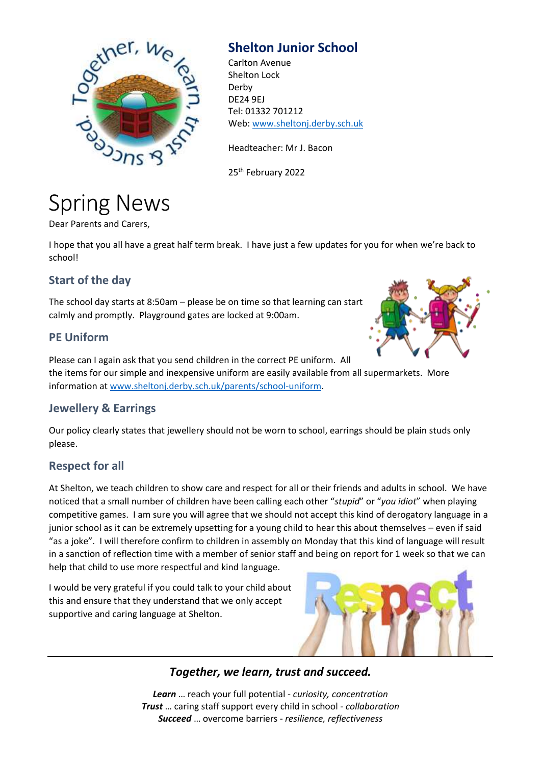

# **Shelton Junior School**

Carlton Avenue Shelton Lock Derby DE24 9EJ Tel: 01332 701212 Web[: www.sheltonj.derby.sch.uk](http://www.sheltonj.derby.sch.uk/)

Headteacher: Mr J. Bacon

25<sup>th</sup> February 2022

# Spring News

Dear Parents and Carers,

I hope that you all have a great half term break. I have just a few updates for you for when we're back to school!

### **Start of the day**

The school day starts at 8:50am – please be on time so that learning can start calmly and promptly. Playground gates are locked at 9:00am.

#### **PE Uniform**

Please can I again ask that you send children in the correct PE uniform. All the items for our simple and inexpensive uniform are easily available from all supermarkets. More information at [www.sheltonj.derby.sch.uk/parents/school-uniform.](http://www.sheltonj.derby.sch.uk/parents/school-uniform)

## **Jewellery & Earrings**

Our policy clearly states that jewellery should not be worn to school, earrings should be plain studs only please.

#### **Respect for all**

At Shelton, we teach children to show care and respect for all or their friends and adults in school. We have noticed that a small number of children have been calling each other "*stupid*" or "*you idiot*" when playing competitive games. I am sure you will agree that we should not accept this kind of derogatory language in a junior school as it can be extremely upsetting for a young child to hear this about themselves – even if said "as a joke". I will therefore confirm to children in assembly on Monday that this kind of language will result in a sanction of reflection time with a member of senior staff and being on report for 1 week so that we can help that child to use more respectful and kind language.

I would be very grateful if you could talk to your child about this and ensure that they understand that we only accept supportive and caring language at Shelton.



#### *Together, we learn, trust and succeed.*

*Learn* … reach your full potential - *curiosity, concentration Trust* … caring staff support every child in school - *collaboration Succeed* … overcome barriers - *resilience, reflectiveness*